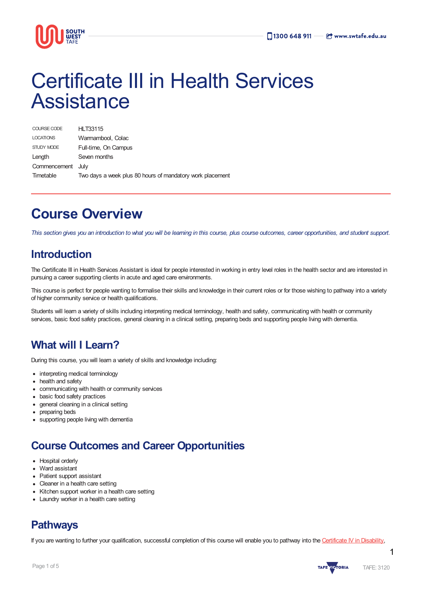

# Certificate III in Health Services **Assistance**

| COURSE CODE       | <b>HLT33115</b>                                           |
|-------------------|-----------------------------------------------------------|
| <b>LOCATIONS</b>  | Warmambool, Colac                                         |
| STUDY MODE        | Full-time, On Campus                                      |
| Length            | Seven months                                              |
| Commencement July |                                                           |
| Timetable         | Two days a week plus 80 hours of mandatory work placement |

## **Course Overview**

This section gives you an introduction to what you will be learning in this course, plus course outcomes, career opportunities, and student support.

### **Introduction**

The Certificate III in Health Services Assistant is ideal for people interested in working in entry level roles in the health sector and are interested in pursuing a career supporting clients in acute and aged care environments.

This course is perfect for people wanting to formalise their skills and knowledge in their current roles or for those wishing to pathway into a variety of higher community service or health qualifications.

Students will learn a variety of skills including interpreting medical terminology, health and safety, communicating with health or community services, basic food safety practices, general cleaning in a clinical setting, preparing beds and supporting people living with dementia.

### **What will I Learn?**

During this course, you will learn a variety of skills and knowledge including:

- interpreting medical terminology
- health and safety
- communicating with health or community services
- basic food safety practices
- general cleaning in a clinical setting
- preparing beds
- supporting people living with dementia

### **Course Outcomes and Career Opportunities**

- Hospital orderly
- Ward assistant
- Patient support assistant
- Cleaner in a health care setting
- Kitchen support worker in a health care setting
- Laundry worker in a health care setting

### **Pathways**

If you are wanting to further your qualification, successful completion of this course will enable you to pathway into the [Certificate](https://www.swtafe.edu.au/courses/nursing-health-community-services/certificate-iv-in-disability) IV in Disability,

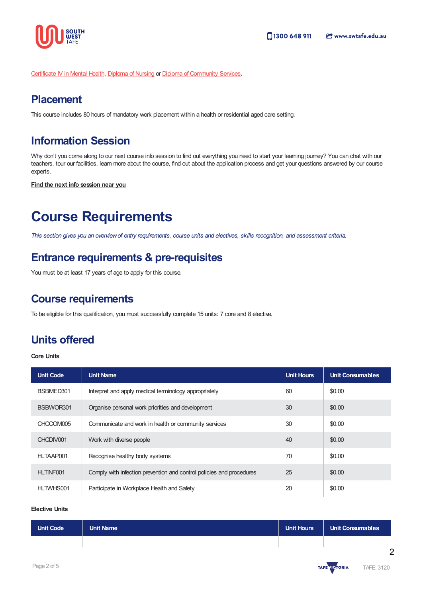

[Certificate](https://www.swtafe.edu.au/courses/nursing-health-community-services/certificate-iv-in-mental-health) IV in Mental Health, [Diploma](https://www.swtafe.edu.au/courses/nursing-health-community-services/diploma-of-nursing) of Nursing or Diploma of [Community](https://www.swtafe.edu.au/courses/nursing-health-community-services/diploma-of-community-services) Services.

### **Placement**

This course includes 80 hours of mandatory work placement within a health or residential aged care setting.

### **Information Session**

Why don't you come along to our next course info session to find out everything you need to start your learning journey? You can chat with our teachers, tour our facilities, learn more about the course, find out about the application process and get your questions answered by our course experts.

**Find the next info [session](https://www.swtafe.edu.au/information-sessions) near you**

## **Course Requirements**

This section gives you an overview of entry requirements, course units and electives, skills recognition, and assessment criteria.

### **Entrance requirements & pre-requisites**

You must be at least 17 years of age to apply for this course.

### **Course requirements**

To be eligible for this qualification, you must successfully complete 15 units: 7 core and 8 elective.

### **Units offered**

#### **Core Units**

| <b>Unit Code</b> | <b>Unit Name</b>                                                     | <b>Unit Hours</b> | <b>Unit Consumables</b> |
|------------------|----------------------------------------------------------------------|-------------------|-------------------------|
| BSBMED301        | Interpret and apply medical terminology appropriately                | 60                | \$0.00                  |
| BSBWOR301        | Organise personal work priorities and development                    | 30                | \$0.00                  |
| CHCCOM005        | Communicate and work in health or community services                 | 30                | \$0.00                  |
| CHCDIV001        | Work with diverse people                                             | 40                | \$0.00                  |
| HLTAAP001        | Recognise healthy body systems                                       | 70                | \$0.00                  |
| HLTINF001        | Comply with infection prevention and control policies and procedures | 25                | \$0.00                  |
| HLTWHS001        | Participate in Workplace Health and Safety                           | 20                | \$0.00                  |

#### **Elective Units**

| Unit Code | <b>Unit Name</b> | Unit Hours | <b>Unit Consumables</b> |
|-----------|------------------|------------|-------------------------|
|           |                  |            |                         |

2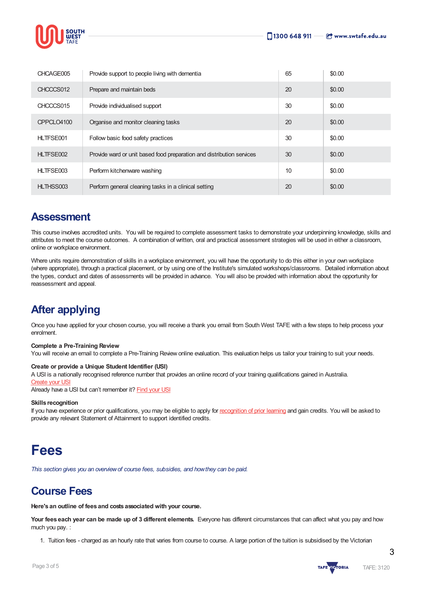

| CHCAGE005  | Provide support to people living with dementia                        | 65 | \$0.00 |
|------------|-----------------------------------------------------------------------|----|--------|
| CHCCCS012  | Prepare and maintain beds                                             | 20 | \$0.00 |
| CHCCCS015  | Provide individualised support                                        | 30 | \$0.00 |
| CPPCLO4100 | Organise and monitor cleaning tasks                                   | 20 | \$0.00 |
| HLTFSE001  | Follow basic food safety practices                                    | 30 | \$0.00 |
| HLTFSE002  | Provide ward or unit based food preparation and distribution services | 30 | \$0.00 |
| HLTFSE003  | Perform kitchenware washing                                           | 10 | \$0.00 |
| HLTHSS003  | Perform general cleaning tasks in a clinical setting                  | 20 | \$0.00 |

### **Assessment**

This course involves accredited units. You will be required to complete assessment tasks to demonstrate your underpinning knowledge, skills and attributes to meet the course outcomes. A combination of written, oral and practical assessment strategies will be used in either a classroom, online or workplace environment.

Where units require demonstration of skills in a workplace environment, you will have the opportunity to do this either in your own workplace (where appropriate), through a practical placement, or by using one of the Institute's simulated workshops/classrooms. Detailed information about the types, conduct and dates of assessments will be provided in advance. You will also be provided with information about the opportunity for reassessment and appeal.

### **After applying**

Once you have applied for your chosen course, you will receive a thank you email from South West TAFE with a few steps to help process your enrolment.

#### **Complete a Pre-Training Review**

You will receive an email to complete a Pre-Training Review online evaluation. This evaluation helps us tailor your training to suit your needs.

#### **Create or provide a Unique Student Identifier (USI)**

A USI is a nationally recognised reference number that provides an online record of your training qualifications gained in Australia.

#### [Create](https://www.usi.gov.au/students/create-usi) your US

Already have a USI but can't remember it? [Find](https://www.usi.gov.au/faqs/i-have-forgotten-my-usi) your USI

#### **Skills recognition**

If you have experience or prior qualifications, you may be eligible to apply for [recognition](https://www.swtafe.edu.au/study/how-to-apply/skills-recognition) of prior learning and gain credits. You will be asked to provide any relevant Statement of Attainment to support identified credits.

## **Fees**

*This section gives you an overviewof course fees, subsidies, and howthey can be paid.*

### **Course Fees**

**Here's an outline of fees and costs associated with your course.**

**Your fees each year can be made up of 3 different elements.** Everyone has different circumstances that can affect what you pay and how much you pay. :

1. Tuition fees - charged as an hourly rate that varies from course to course. A large portion of the tuition is subsidised by the Victorian



3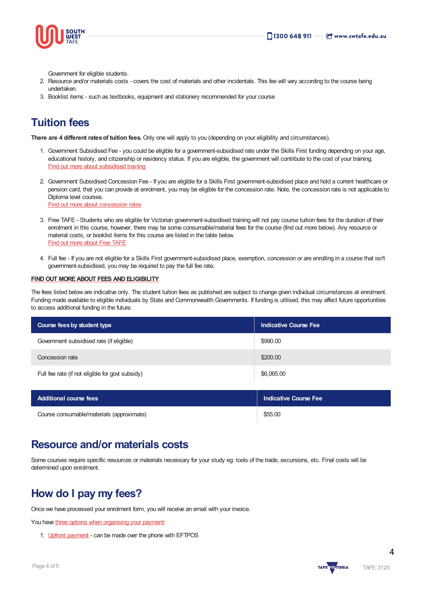

Government for eligible students.

- 2. Resource and/or materials costs covers the cost of materials and other incidentals. This fee will vary according to the course being undertaken.
- 3. Booklist items such as textbooks, equipment and stationery recommended for your course

### **Tuition fees**

**There are 4 different ratesof tuition fees.** Only one will apply to you (depending on your eligibility and circumstances).

- 1. Government Subsidised Fee you could be eligible for a government-subsidised rate under the Skills First funding depending on your age, educational history, and citizenship or residency status. If you are eligible, the government will contribute to the cost of your training. Find out more about [subsidised](https://www.swtafe.edu.au/study/fees-free-tafe/access-govt-subsidies/victorian-students) training
- 2. Government Subsidised Concession Fee If you are eligible for a Skills First government-subsidised place and hold a current healthcare or pension card, that you can provide at enrolment, you may be eligible for the concession rate. Note, the concession rate is not applicable to Diploma level courses. Find out more about [concession](https://www.swtafe.edu.au/study/fees-free-tafe/concession) rates
- 3. Free TAFE Students who are eligible for Victorian government-subsidised training will not pay course tuition fees for the duration of their enrolment in this course, however, there may be some consumable/material fees for the course (find out more below). Any resource or material costs, or booklist items for this course are listed in the table below. Find out more [about](https://www.swtafe.edu.au/courses/free-tafe-courses) Free TAFE
- 4. Full fee If you are not eligible for a Skills First government-subsidised place, exemption, concession or are enrolling in a course that isn't government-subsidised, you may be required to pay the full fee rate.

#### **FINDOUT [MOREABOUT](https://www.swtafe.edu.au/study/fees-free-tafe) FEES AND ELIGIBILITY**

The fees listed below are indicative only. The student tuition fees as published are subject to change given individual circumstances at enrolment. Funding made available to eligible individuals by State and Commonwealth Governments. If funding is utilised, this may affect future opportunities to access additional funding in the future.

| Course fees by student type                      | <b>Indicative Course Fee</b> |
|--------------------------------------------------|------------------------------|
| Government subsidised rate (if eligible)         | \$990.00                     |
| Concession rate                                  | \$200.00                     |
| Full fee rate (if not eligible for govt subsidy) | \$6,065.00                   |

| Additional course fees                    | Indicative Course Fee |
|-------------------------------------------|-----------------------|
| Course consumable/materials (approximate) | \$55.00               |

### **Resource and/or materials costs**

Some courses require specific resources or materials necessary for your study eg: tools of the trade, excursions, etc. Final costs will be determined upon enrolment.

### **How do I pay my fees?**

Once we have processed your enrolment form, you will receive an email with your invoice.

You have three options when [organising](https://www.swtafe.edu.au/study/fees-free-tafe/payment-options) your payment:

1. Upfront [payment](https://www.swtafe.edu.au/study/fees-free-tafe/payment-options) - can be made over the phone with EFTPOS